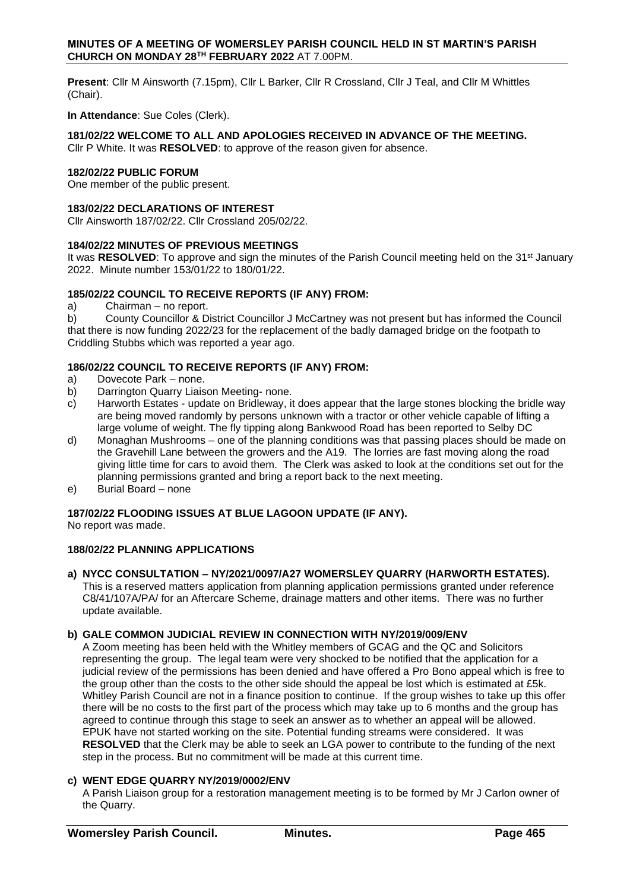**Present**: Cllr M Ainsworth (7.15pm), Cllr L Barker, Cllr R Crossland, Cllr J Teal, and Cllr M Whittles (Chair).

**In Attendance**: Sue Coles (Clerk).

# **181/02/22 WELCOME TO ALL AND APOLOGIES RECEIVED IN ADVANCE OF THE MEETING.**

Cllr P White. It was **RESOLVED**: to approve of the reason given for absence.

### **182/02/22 PUBLIC FORUM**

One member of the public present.

#### **183/02/22 DECLARATIONS OF INTEREST**

Cllr Ainsworth 187/02/22. Cllr Crossland 205/02/22.

### **184/02/22 MINUTES OF PREVIOUS MEETINGS**

It was **RESOLVED**: To approve and sign the minutes of the Parish Council meeting held on the 31<sup>st</sup> January 2022. Minute number 153/01/22 to 180/01/22.

# **185/02/22 COUNCIL TO RECEIVE REPORTS (IF ANY) FROM:**

a) Chairman – no report.

b) County Councillor & District Councillor J McCartney was not present but has informed the Council that there is now funding 2022/23 for the replacement of the badly damaged bridge on the footpath to Criddling Stubbs which was reported a year ago.

# **186/02/22 COUNCIL TO RECEIVE REPORTS (IF ANY) FROM:**

- a) Dovecote Park none.
- b) Darrington Quarry Liaison Meeting- none.
- c) Harworth Estates update on Bridleway, it does appear that the large stones blocking the bridle way are being moved randomly by persons unknown with a tractor or other vehicle capable of lifting a large volume of weight. The fly tipping along Bankwood Road has been reported to Selby DC
- d) Monaghan Mushrooms one of the planning conditions was that passing places should be made on the Gravehill Lane between the growers and the A19. The lorries are fast moving along the road giving little time for cars to avoid them. The Clerk was asked to look at the conditions set out for the planning permissions granted and bring a report back to the next meeting.
- e) Burial Board none

# **187/02/22 FLOODING ISSUES AT BLUE LAGOON UPDATE (IF ANY).**

No report was made.

# **188/02/22 PLANNING APPLICATIONS**

# **a) NYCC CONSULTATION – NY/2021/0097/A27 WOMERSLEY QUARRY (HARWORTH ESTATES).**

This is a reserved matters application from planning application permissions granted under reference C8/41/107A/PA/ for an Aftercare Scheme, drainage matters and other items. There was no further update available.

# **b) GALE COMMON JUDICIAL REVIEW IN CONNECTION WITH NY/2019/009/ENV**

A Zoom meeting has been held with the Whitley members of GCAG and the QC and Solicitors representing the group. The legal team were very shocked to be notified that the application for a judicial review of the permissions has been denied and have offered a Pro Bono appeal which is free to the group other than the costs to the other side should the appeal be lost which is estimated at £5k. Whitley Parish Council are not in a finance position to continue. If the group wishes to take up this offer there will be no costs to the first part of the process which may take up to 6 months and the group has agreed to continue through this stage to seek an answer as to whether an appeal will be allowed. EPUK have not started working on the site. Potential funding streams were considered. It was **RESOLVED** that the Clerk may be able to seek an LGA power to contribute to the funding of the next step in the process. But no commitment will be made at this current time.

# **c) WENT EDGE QUARRY NY/2019/0002/ENV**

A Parish Liaison group for a restoration management meeting is to be formed by Mr J Carlon owner of the Quarry.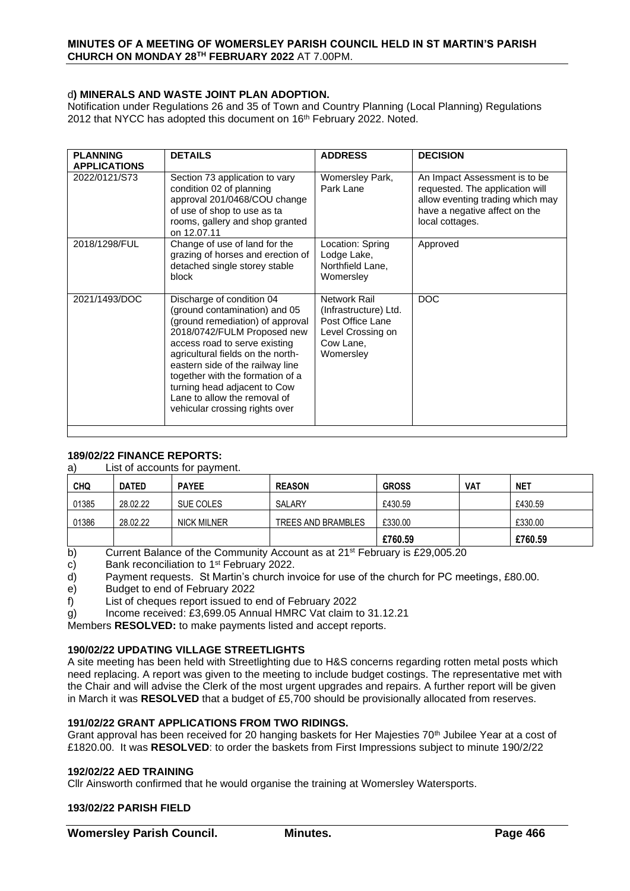# d**) MINERALS AND WASTE JOINT PLAN ADOPTION.**

Notification under Regulations 26 and 35 of Town and Country Planning (Local Planning) Regulations 2012 that NYCC has adopted this document on 16<sup>th</sup> February 2022. Noted.

| <b>PLANNING</b><br><b>APPLICATIONS</b> | <b>DETAILS</b>                                                                                                                                                                                                                                                                                                                                                                | <b>ADDRESS</b>                                                                                           | <b>DECISION</b>                                                                                                                                          |
|----------------------------------------|-------------------------------------------------------------------------------------------------------------------------------------------------------------------------------------------------------------------------------------------------------------------------------------------------------------------------------------------------------------------------------|----------------------------------------------------------------------------------------------------------|----------------------------------------------------------------------------------------------------------------------------------------------------------|
| 2022/0121/S73                          | Section 73 application to vary<br>condition 02 of planning<br>approval 201/0468/COU change<br>of use of shop to use as ta<br>rooms, gallery and shop granted<br>on 12.07.11                                                                                                                                                                                                   | Womersley Park,<br>Park Lane                                                                             | An Impact Assessment is to be<br>requested. The application will<br>allow eventing trading which may<br>have a negative affect on the<br>local cottages. |
| 2018/1298/FUL                          | Change of use of land for the<br>grazing of horses and erection of<br>detached single storey stable<br>block                                                                                                                                                                                                                                                                  | Location: Spring<br>Lodge Lake,<br>Northfield Lane,<br>Womersley                                         | Approved                                                                                                                                                 |
| 2021/1493/DOC                          | Discharge of condition 04<br>(ground contamination) and 05<br>(ground remediation) of approval<br>2018/0742/FULM Proposed new<br>access road to serve existing<br>agricultural fields on the north-<br>eastern side of the railway line<br>together with the formation of a<br>turning head adjacent to Cow<br>Lane to allow the removal of<br>vehicular crossing rights over | Network Rail<br>(Infrastructure) Ltd.<br>Post Office Lane<br>Level Crossing on<br>Cow Lane,<br>Womersley | <b>DOC</b>                                                                                                                                               |

# **189/02/22 FINANCE REPORTS:**

a) List of accounts for payment.

| <b>CHQ</b> | <b>DATED</b> | <b>PAYEE</b>       | <b>REASON</b>      | <b>GROSS</b> | VAT | <b>NET</b> |
|------------|--------------|--------------------|--------------------|--------------|-----|------------|
| 01385      | 28.02.22     | SUE COLES          | SALARY             | £430.59      |     | £430.59    |
| 01386      | 28.02.22     | <b>NICK MILNER</b> | TREES AND BRAMBLES | £330.00      |     | £330.00    |
|            |              |                    |                    | £760.59      |     | £760.59    |

b) Current Balance of the Community Account as at 21<sup>st</sup> February is £29,005.20

c) Bank reconciliation to 1<sup>st</sup> February 2022.

d) Payment requests. St Martin's church invoice for use of the church for PC meetings, £80.00.

e) Budget to end of February 2022

f) List of cheques report issued to end of February 2022

g) Income received: £3,699.05 Annual HMRC Vat claim to 31.12.21

Members **RESOLVED:** to make payments listed and accept reports.

# **190/02/22 UPDATING VILLAGE STREETLIGHTS**

A site meeting has been held with Streetlighting due to H&S concerns regarding rotten metal posts which need replacing. A report was given to the meeting to include budget costings. The representative met with the Chair and will advise the Clerk of the most urgent upgrades and repairs. A further report will be given in March it was **RESOLVED** that a budget of £5,700 should be provisionally allocated from reserves.

# **191/02/22 GRANT APPLICATIONS FROM TWO RIDINGS.**

Grant approval has been received for 20 hanging baskets for Her Majesties 70<sup>th</sup> Jubilee Year at a cost of £1820.00. It was **RESOLVED**: to order the baskets from First Impressions subject to minute 190/2/22

#### **192/02/22 AED TRAINING**

Cllr Ainsworth confirmed that he would organise the training at Womersley Watersports.

# **193/02/22 PARISH FIELD**

**Womersley Parish Council. Minutes. Page 466**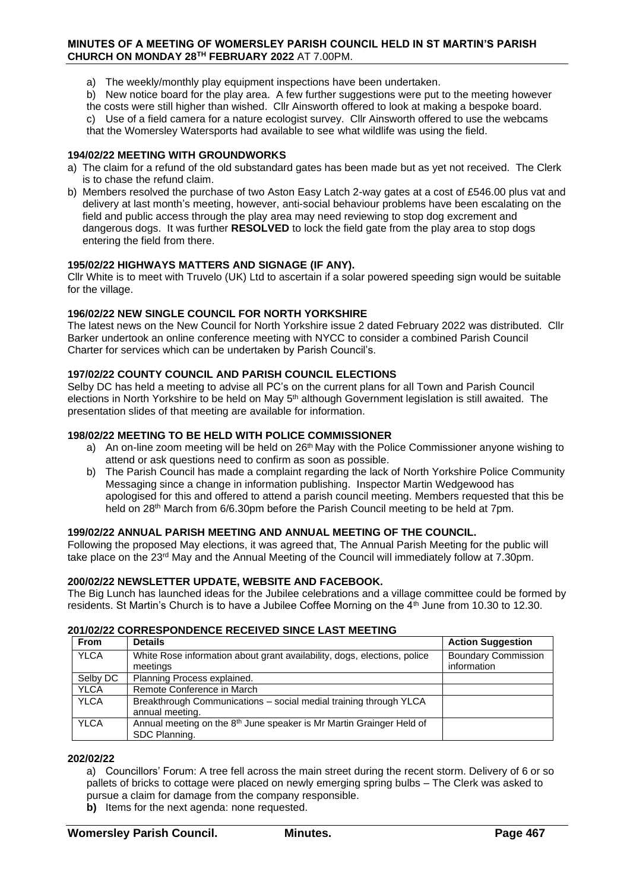#### **MINUTES OF A MEETING OF WOMERSLEY PARISH COUNCIL HELD IN ST MARTIN'S PARISH CHURCH ON MONDAY 28TH FEBRUARY 2022** AT 7.00PM.

- a) The weekly/monthly play equipment inspections have been undertaken.
- b) New notice board for the play area. A few further suggestions were put to the meeting however
- the costs were still higher than wished. Cllr Ainsworth offered to look at making a bespoke board.

c) Use of a field camera for a nature ecologist survey. Cllr Ainsworth offered to use the webcams that the Womersley Watersports had available to see what wildlife was using the field.

### **194/02/22 MEETING WITH GROUNDWORKS**

- a) The claim for a refund of the old substandard gates has been made but as yet not received. The Clerk is to chase the refund claim.
- b) Members resolved the purchase of two Aston Easy Latch 2-way gates at a cost of £546.00 plus vat and delivery at last month's meeting, however, anti-social behaviour problems have been escalating on the field and public access through the play area may need reviewing to stop dog excrement and dangerous dogs. It was further **RESOLVED** to lock the field gate from the play area to stop dogs entering the field from there.

### **195/02/22 HIGHWAYS MATTERS AND SIGNAGE (IF ANY).**

Cllr White is to meet with Truvelo (UK) Ltd to ascertain if a solar powered speeding sign would be suitable for the village.

### **196/02/22 NEW SINGLE COUNCIL FOR NORTH YORKSHIRE**

The latest news on the New Council for North Yorkshire issue 2 dated February 2022 was distributed. Cllr Barker undertook an online conference meeting with NYCC to consider a combined Parish Council Charter for services which can be undertaken by Parish Council's.

# **197/02/22 COUNTY COUNCIL AND PARISH COUNCIL ELECTIONS**

Selby DC has held a meeting to advise all PC's on the current plans for all Town and Parish Council elections in North Yorkshire to be held on May 5<sup>th</sup> although Government legislation is still awaited. The presentation slides of that meeting are available for information.

### **198/02/22 MEETING TO BE HELD WITH POLICE COMMISSIONER**

- a) An on-line zoom meeting will be held on 26<sup>th</sup> May with the Police Commissioner anyone wishing to attend or ask questions need to confirm as soon as possible.
- b) The Parish Council has made a complaint regarding the lack of North Yorkshire Police Community Messaging since a change in information publishing. Inspector Martin Wedgewood has apologised for this and offered to attend a parish council meeting. Members requested that this be held on 28<sup>th</sup> March from 6/6.30pm before the Parish Council meeting to be held at 7pm.

#### **199/02/22 ANNUAL PARISH MEETING AND ANNUAL MEETING OF THE COUNCIL.**

Following the proposed May elections, it was agreed that, The Annual Parish Meeting for the public will take place on the 23<sup>rd</sup> May and the Annual Meeting of the Council will immediately follow at 7.30pm.

### **200/02/22 NEWSLETTER UPDATE, WEBSITE AND FACEBOOK.**

The Big Lunch has launched ideas for the Jubilee celebrations and a village committee could be formed by residents. St Martin's Church is to have a Jubilee Coffee Morning on the 4<sup>th</sup> June from 10.30 to 12.30.

#### **201/02/22 CORRESPONDENCE RECEIVED SINCE LAST MEETING**

| <b>From</b> | <b>Details</b>                                                                   | <b>Action Suggestion</b>   |
|-------------|----------------------------------------------------------------------------------|----------------------------|
| <b>YLCA</b> | White Rose information about grant availability, dogs, elections, police         | <b>Boundary Commission</b> |
|             | meetings                                                                         | information                |
| Selby DC    | Planning Process explained.                                                      |                            |
| <b>YLCA</b> | Remote Conference in March                                                       |                            |
| <b>YLCA</b> | Breakthrough Communications - social medial training through YLCA                |                            |
|             | annual meeting.                                                                  |                            |
| <b>YLCA</b> | Annual meeting on the 8 <sup>th</sup> June speaker is Mr Martin Grainger Held of |                            |
|             | SDC Planning.                                                                    |                            |

#### **202/02/22**

a) Councillors' Forum: A tree fell across the main street during the recent storm. Delivery of 6 or so pallets of bricks to cottage were placed on newly emerging spring bulbs – The Clerk was asked to pursue a claim for damage from the company responsible.

**b)** Items for the next agenda: none requested.